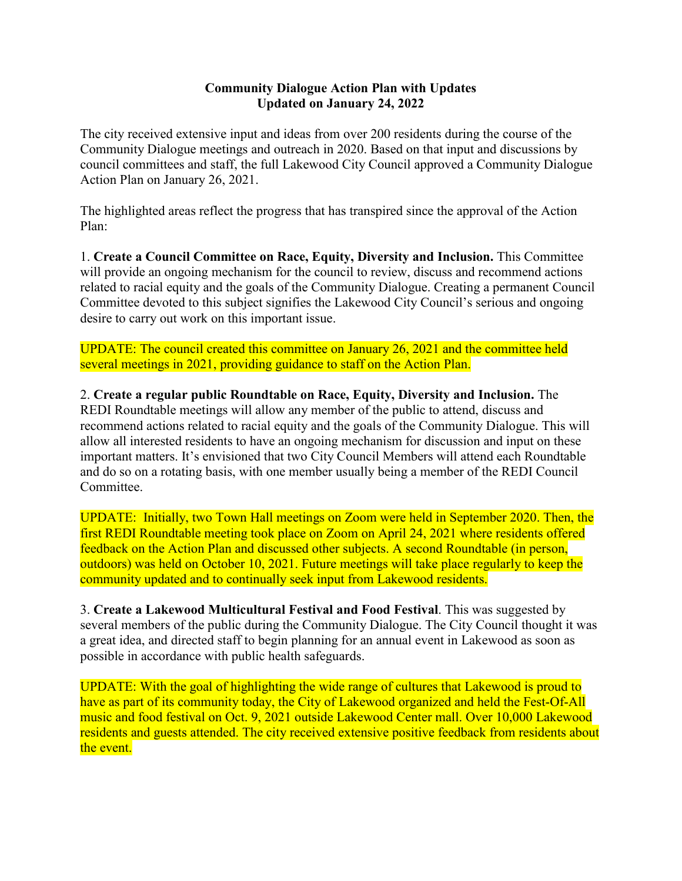## **Community Dialogue Action Plan with Updates Updated on January 24, 2022**

The city received extensive input and ideas from over 200 residents during the course of the Community Dialogue meetings and outreach in 2020. Based on that input and discussions by council committees and staff, the full Lakewood City Council approved a Community Dialogue Action Plan on January 26, 2021.

The highlighted areas reflect the progress that has transpired since the approval of the Action Plan:

1. **Create a Council Committee on Race, Equity, Diversity and Inclusion.** This Committee will provide an ongoing mechanism for the council to review, discuss and recommend actions related to racial equity and the goals of the Community Dialogue. Creating a permanent Council Committee devoted to this subject signifies the Lakewood City Council's serious and ongoing desire to carry out work on this important issue.

UPDATE: The council created this committee on January 26, 2021 and the committee held several meetings in 2021, providing guidance to staff on the Action Plan.

2. **Create a regular public Roundtable on Race, Equity, Diversity and Inclusion.** The REDI Roundtable meetings will allow any member of the public to attend, discuss and recommend actions related to racial equity and the goals of the Community Dialogue. This will allow all interested residents to have an ongoing mechanism for discussion and input on these important matters. It's envisioned that two City Council Members will attend each Roundtable and do so on a rotating basis, with one member usually being a member of the REDI Council Committee.

UPDATE: Initially, two Town Hall meetings on Zoom were held in September 2020. Then, the first REDI Roundtable meeting took place on Zoom on April 24, 2021 where residents offered feedback on the Action Plan and discussed other subjects. A second Roundtable (in person, outdoors) was held on October 10, 2021. Future meetings will take place regularly to keep the community updated and to continually seek input from Lakewood residents.

3. **Create a Lakewood Multicultural Festival and Food Festival**. This was suggested by several members of the public during the Community Dialogue. The City Council thought it was a great idea, and directed staff to begin planning for an annual event in Lakewood as soon as possible in accordance with public health safeguards.

UPDATE: With the goal of highlighting the wide range of cultures that Lakewood is proud to have as part of its community today, the City of Lakewood organized and held the Fest-Of-All music and food festival on Oct. 9, 2021 outside Lakewood Center mall. Over 10,000 Lakewood residents and guests attended. The city received extensive positive feedback from residents about the event.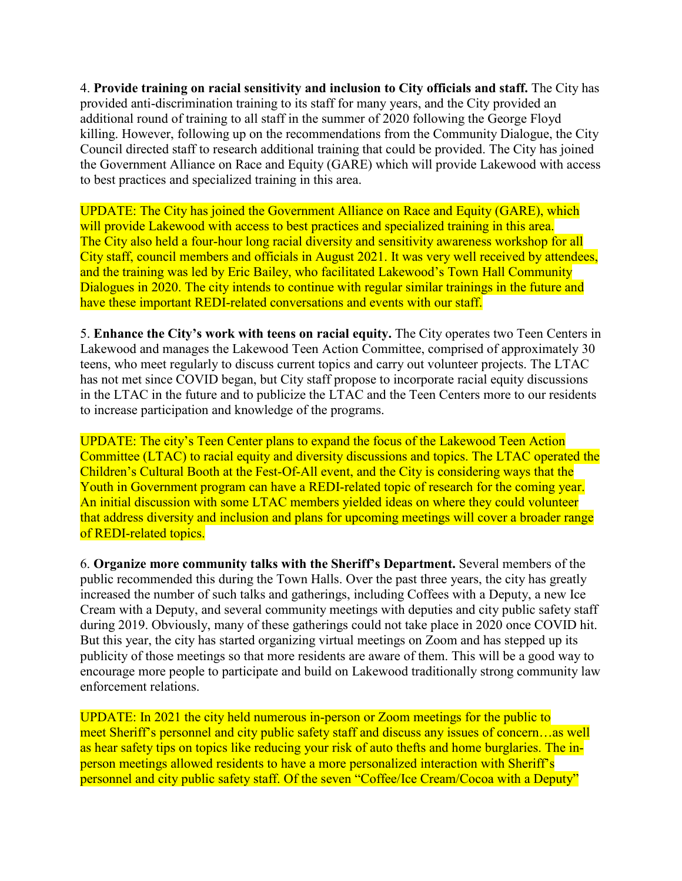4. **Provide training on racial sensitivity and inclusion to City officials and staff.** The City has provided anti-discrimination training to its staff for many years, and the City provided an additional round of training to all staff in the summer of 2020 following the George Floyd killing. However, following up on the recommendations from the Community Dialogue, the City Council directed staff to research additional training that could be provided. The City has joined the Government Alliance on Race and Equity (GARE) which will provide Lakewood with access to best practices and specialized training in this area.

UPDATE: The City has joined the Government Alliance on Race and Equity (GARE), which will provide Lakewood with access to best practices and specialized training in this area. The City also held a four-hour long racial diversity and sensitivity awareness workshop for all City staff, council members and officials in August 2021. It was very well received by attendees, and the training was led by Eric Bailey, who facilitated Lakewood's Town Hall Community Dialogues in 2020. The city intends to continue with regular similar trainings in the future and have these important REDI-related conversations and events with our staff.

5. **Enhance the City's work with teens on racial equity.** The City operates two Teen Centers in Lakewood and manages the Lakewood Teen Action Committee, comprised of approximately 30 teens, who meet regularly to discuss current topics and carry out volunteer projects. The LTAC has not met since COVID began, but City staff propose to incorporate racial equity discussions in the LTAC in the future and to publicize the LTAC and the Teen Centers more to our residents to increase participation and knowledge of the programs.

UPDATE: The city's Teen Center plans to expand the focus of the Lakewood Teen Action Committee (LTAC) to racial equity and diversity discussions and topics. The LTAC operated the Children's Cultural Booth at the Fest-Of-All event, and the City is considering ways that the Youth in Government program can have a REDI-related topic of research for the coming year. An initial discussion with some LTAC members yielded ideas on where they could volunteer that address diversity and inclusion and plans for upcoming meetings will cover a broader range of REDI-related topics.

6. **Organize more community talks with the Sheriff's Department.** Several members of the public recommended this during the Town Halls. Over the past three years, the city has greatly increased the number of such talks and gatherings, including Coffees with a Deputy, a new Ice Cream with a Deputy, and several community meetings with deputies and city public safety staff during 2019. Obviously, many of these gatherings could not take place in 2020 once COVID hit. But this year, the city has started organizing virtual meetings on Zoom and has stepped up its publicity of those meetings so that more residents are aware of them. This will be a good way to encourage more people to participate and build on Lakewood traditionally strong community law enforcement relations.

UPDATE: In 2021 the city held numerous in-person or Zoom meetings for the public to meet Sheriff's personnel and city public safety staff and discuss any issues of concern…as well as hear safety tips on topics like reducing your risk of auto thefts and home burglaries. The inperson meetings allowed residents to have a more personalized interaction with Sheriff's personnel and city public safety staff. Of the seven "Coffee/Ice Cream/Cocoa with a Deputy"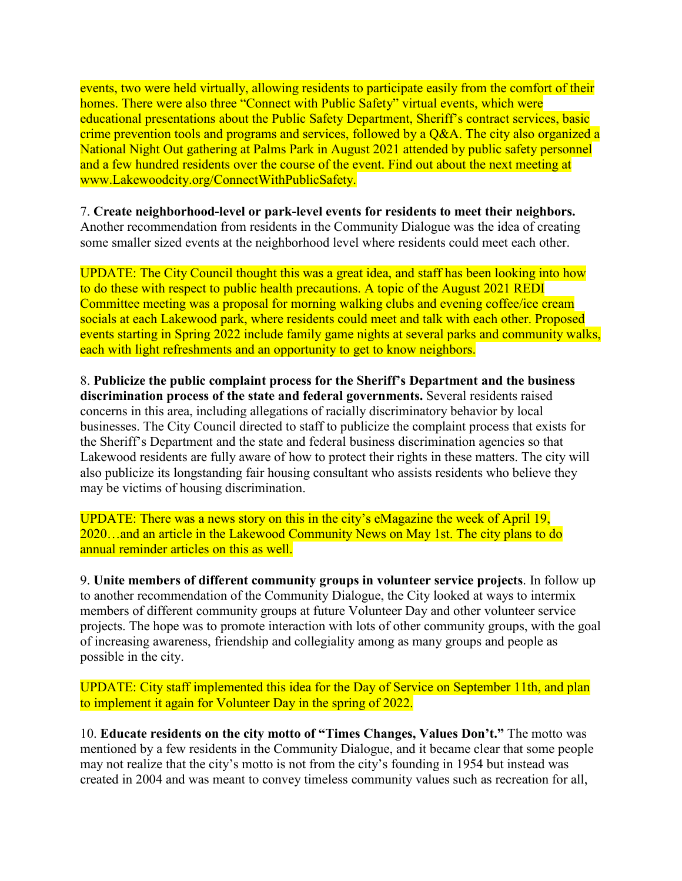events, two were held virtually, allowing residents to participate easily from the comfort of their homes. There were also three "Connect with Public Safety" virtual events, which were educational presentations about the Public Safety Department, Sheriff's contract services, basic crime prevention tools and programs and services, followed by a Q&A. The city also organized a National Night Out gathering at Palms Park in August 2021 attended by public safety personnel and a few hundred residents over the course of the event. Find out about the next meeting at www.Lakewoodcity.org/ConnectWithPublicSafety.

## 7. **Create neighborhood-level or park-level events for residents to meet their neighbors.**

Another recommendation from residents in the Community Dialogue was the idea of creating some smaller sized events at the neighborhood level where residents could meet each other.

UPDATE: The City Council thought this was a great idea, and staff has been looking into how to do these with respect to public health precautions. A topic of the August 2021 REDI Committee meeting was a proposal for morning walking clubs and evening coffee/ice cream socials at each Lakewood park, where residents could meet and talk with each other. Proposed events starting in Spring 2022 include family game nights at several parks and community walks, each with light refreshments and an opportunity to get to know neighbors.

8. **Publicize the public complaint process for the Sheriff's Department and the business discrimination process of the state and federal governments.** Several residents raised concerns in this area, including allegations of racially discriminatory behavior by local businesses. The City Council directed to staff to publicize the complaint process that exists for the Sheriff's Department and the state and federal business discrimination agencies so that Lakewood residents are fully aware of how to protect their rights in these matters. The city will also publicize its longstanding fair housing consultant who assists residents who believe they may be victims of housing discrimination.

UPDATE: There was a news story on this in the city's eMagazine the week of April 19, 2020…and an article in the Lakewood Community News on May 1st. The city plans to do annual reminder articles on this as well.

9. **Unite members of different community groups in volunteer service projects**. In follow up to another recommendation of the Community Dialogue, the City looked at ways to intermix members of different community groups at future Volunteer Day and other volunteer service projects. The hope was to promote interaction with lots of other community groups, with the goal of increasing awareness, friendship and collegiality among as many groups and people as possible in the city.

UPDATE: City staff implemented this idea for the Day of Service on September 11th, and plan to implement it again for Volunteer Day in the spring of 2022.

10. **Educate residents on the city motto of "Times Changes, Values Don't."** The motto was mentioned by a few residents in the Community Dialogue, and it became clear that some people may not realize that the city's motto is not from the city's founding in 1954 but instead was created in 2004 and was meant to convey timeless community values such as recreation for all,